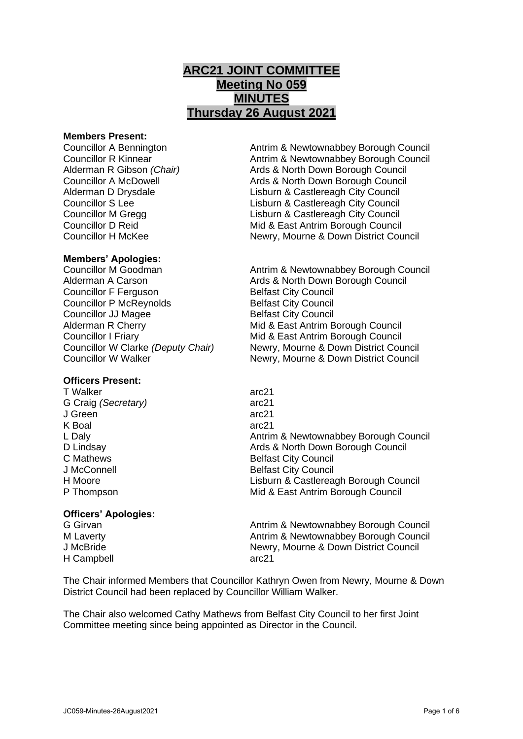# **ARC21 JOINT COMMITTEE Meeting No 059 MINUTES Thursday 26 August 2021**

#### **Members Present:**

## **Members' Apologies:**

Councillor F Ferguson Belfast City Council Councillor P McReynolds Belfast City Council **Councillor JJ Magee Belfast City Council** 

## **Officers Present:**

T Walker arc21 G Craig *(Secretary)* arc21 J Green arc21 K Boal arc21

## **Officers' Apologies:**

H Campbell arc21

Councillor A Bennington Antrim & Newtownabbey Borough Council Councillor R Kinnear **Antrim & Newtownabbey Borough Council** Alderman R Gibson *(Chair)* Ards & North Down Borough Council Councillor A McDowell **Ards & North Down Borough Council** Alderman D Drysdale Lisburn & Castlereagh City Council Councillor S Lee Lisburn & Castlereagh City Council Councillor M Gregg Lisburn & Castlereagh City Council Councillor D Reid Mid & East Antrim Borough Council Councillor H McKee Newry, Mourne & Down District Council

Councillor M Goodman **Antrim & Newtownabbey Borough Council** Alderman A Carson **Ariga Ards & North Down Borough Council** Alderman R Cherry **Mid & East Antrim Borough Council** Councillor I Friary Mid & East Antrim Borough Council Councillor W Clarke *(Deputy Chair)* Newry, Mourne & Down District Council Councillor W Walker Newry, Mourne & Down District Council

L Daly<br>
D Lindsay<br>
D Lindsay<br>
Ards & North Down Borough Council Ards & North Down Borough Council C Mathews **Belfast City Council** J McConnell **Belfast City Council** H Moore Lisburn & Castlereagh Borough Council P Thompson Mid & East Antrim Borough Council

G Girvan **Antrim & Newtownabbey Borough Council** Antrim & Newtownabbey Borough Council M Laverty **Antrim & Newtownabbey Borough Council** Antrim & Newtownabbey Borough Council J McBride Newry, Mourne & Down District Council

The Chair informed Members that Councillor Kathryn Owen from Newry, Mourne & Down District Council had been replaced by Councillor William Walker.

The Chair also welcomed Cathy Mathews from Belfast City Council to her first Joint Committee meeting since being appointed as Director in the Council.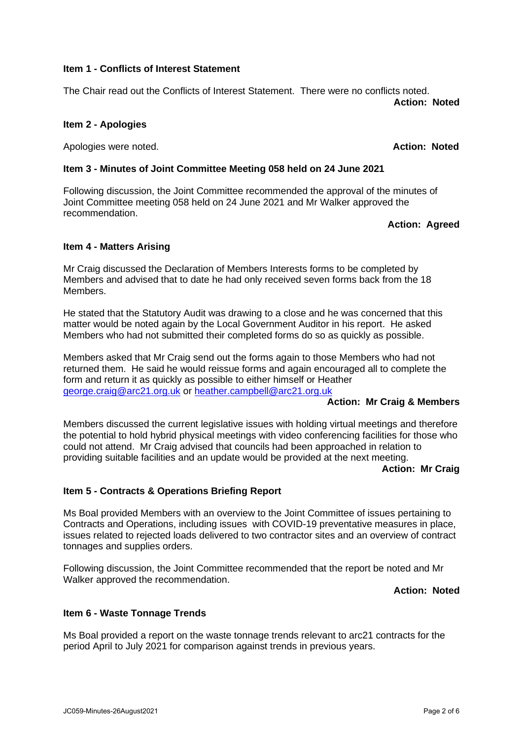JC059-Minutes-26August2021 Page 2 of 6

#### **Item 1 - Conflicts of Interest Statement**

The Chair read out the Conflicts of Interest Statement. There were no conflicts noted. **Action: Noted**

## **Item 2 - Apologies**

Apologies were noted. **Action: Noted**

## **Item 3 - Minutes of Joint Committee Meeting 058 held on 24 June 2021**

Following discussion, the Joint Committee recommended the approval of the minutes of Joint Committee meeting 058 held on 24 June 2021 and Mr Walker approved the recommendation.

## **Action: Agreed**

## **Item 4 - Matters Arising**

Mr Craig discussed the Declaration of Members Interests forms to be completed by Members and advised that to date he had only received seven forms back from the 18 Members.

He stated that the Statutory Audit was drawing to a close and he was concerned that this matter would be noted again by the Local Government Auditor in his report. He asked Members who had not submitted their completed forms do so as quickly as possible.

Members asked that Mr Craig send out the forms again to those Members who had not returned them. He said he would reissue forms and again encouraged all to complete the form and return it as quickly as possible to either himself or Heather [george.craig@arc21.org.uk](mailto:george.craig@arc21.org.uk) or [heather.campbell@arc21.org.uk](mailto:heather.campbell@arc21.org.uk)

## **Action: Mr Craig & Members**

Members discussed the current legislative issues with holding virtual meetings and therefore the potential to hold hybrid physical meetings with video conferencing facilities for those who could not attend. Mr Craig advised that councils had been approached in relation to providing suitable facilities and an update would be provided at the next meeting.

**Action: Mr Craig**

## **Item 5 - Contracts & Operations Briefing Report**

Ms Boal provided Members with an overview to the Joint Committee of issues pertaining to Contracts and Operations, including issues with COVID-19 preventative measures in place, issues related to rejected loads delivered to two contractor sites and an overview of contract tonnages and supplies orders.

Following discussion, the Joint Committee recommended that the report be noted and Mr Walker approved the recommendation.

**Action: Noted**

## **Item 6 - Waste Tonnage Trends**

Ms Boal provided a report on the waste tonnage trends relevant to arc21 contracts for the period April to July 2021 for comparison against trends in previous years.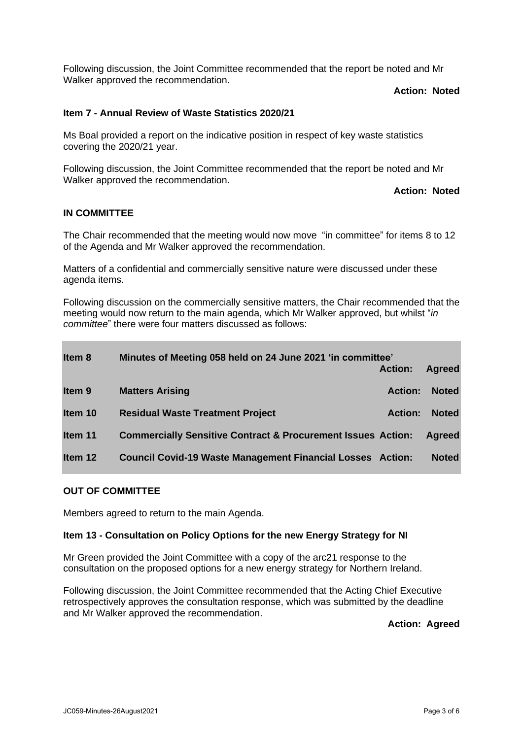Following discussion, the Joint Committee recommended that the report be noted and Mr Walker approved the recommendation.

**Action: Noted**

## **Item 7 - Annual Review of Waste Statistics 2020/21**

Ms Boal provided a report on the indicative position in respect of key waste statistics covering the 2020/21 year.

Following discussion, the Joint Committee recommended that the report be noted and Mr Walker approved the recommendation.

**Action: Noted**

#### **IN COMMITTEE**

The Chair recommended that the meeting would now move "in committee" for items 8 to 12 of the Agenda and Mr Walker approved the recommendation.

Matters of a confidential and commercially sensitive nature were discussed under these agenda items.

Following discussion on the commercially sensitive matters, the Chair recommended that the meeting would now return to the main agenda, which Mr Walker approved, but whilst "*in committee*" there were four matters discussed as follows:

| Item 8            | Minutes of Meeting 058 held on 24 June 2021 'in committee'              |                |               |
|-------------------|-------------------------------------------------------------------------|----------------|---------------|
|                   |                                                                         | <b>Action:</b> | <b>Agreed</b> |
| Item <sub>9</sub> | <b>Matters Arising</b>                                                  | <b>Action:</b> | <b>Noted</b>  |
| Item 10           | <b>Residual Waste Treatment Project</b>                                 | <b>Action:</b> | <b>Noted</b>  |
| Item 11           | <b>Commercially Sensitive Contract &amp; Procurement Issues Action:</b> |                | Agreed        |
| Item 12           | <b>Council Covid-19 Waste Management Financial Losses Action:</b>       |                | <b>Noted</b>  |

#### **OUT OF COMMITTEE**

Members agreed to return to the main Agenda.

#### **Item 13 - Consultation on Policy Options for the new Energy Strategy for NI**

Mr Green provided the Joint Committee with a copy of the arc21 response to the consultation on the proposed options for a new energy strategy for Northern Ireland.

Following discussion, the Joint Committee recommended that the Acting Chief Executive retrospectively approves the consultation response, which was submitted by the deadline and Mr Walker approved the recommendation.

**Action: Agreed**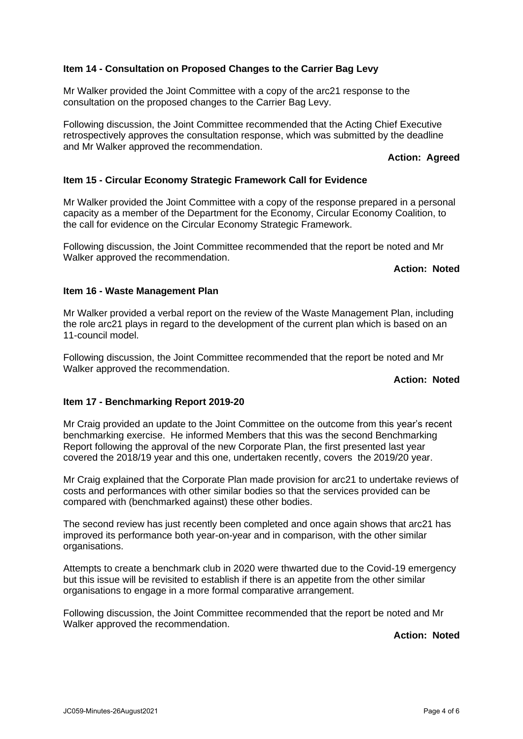## **Item 14 - Consultation on Proposed Changes to the Carrier Bag Levy**

Mr Walker provided the Joint Committee with a copy of the arc21 response to the consultation on the proposed changes to the Carrier Bag Levy.

Following discussion, the Joint Committee recommended that the Acting Chief Executive retrospectively approves the consultation response, which was submitted by the deadline and Mr Walker approved the recommendation.

#### **Action: Agreed**

### **Item 15 - Circular Economy Strategic Framework Call for Evidence**

Mr Walker provided the Joint Committee with a copy of the response prepared in a personal capacity as a member of the Department for the Economy, Circular Economy Coalition, to the call for evidence on the Circular Economy Strategic Framework.

Following discussion, the Joint Committee recommended that the report be noted and Mr Walker approved the recommendation.

#### **Action: Noted**

#### **Item 16 - Waste Management Plan**

Mr Walker provided a verbal report on the review of the Waste Management Plan, including the role arc21 plays in regard to the development of the current plan which is based on an 11-council model.

Following discussion, the Joint Committee recommended that the report be noted and Mr Walker approved the recommendation.

### **Action: Noted**

#### **Item 17 - Benchmarking Report 2019-20**

Mr Craig provided an update to the Joint Committee on the outcome from this year's recent benchmarking exercise. He informed Members that this was the second Benchmarking Report following the approval of the new Corporate Plan, the first presented last year covered the 2018/19 year and this one, undertaken recently, covers the 2019/20 year.

Mr Craig explained that the Corporate Plan made provision for arc21 to undertake reviews of costs and performances with other similar bodies so that the services provided can be compared with (benchmarked against) these other bodies.

The second review has just recently been completed and once again shows that arc21 has improved its performance both year-on-year and in comparison, with the other similar organisations.

Attempts to create a benchmark club in 2020 were thwarted due to the Covid-19 emergency but this issue will be revisited to establish if there is an appetite from the other similar organisations to engage in a more formal comparative arrangement.

Following discussion, the Joint Committee recommended that the report be noted and Mr Walker approved the recommendation.

**Action: Noted**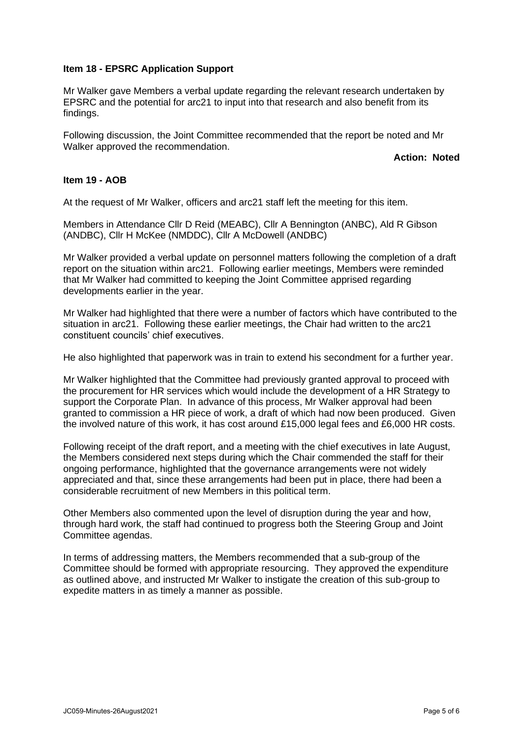#### **Item 18 - EPSRC Application Support**

Mr Walker gave Members a verbal update regarding the relevant research undertaken by EPSRC and the potential for arc21 to input into that research and also benefit from its findings.

Following discussion, the Joint Committee recommended that the report be noted and Mr Walker approved the recommendation.

**Action: Noted**

## **Item 19 - AOB**

At the request of Mr Walker, officers and arc21 staff left the meeting for this item.

Members in Attendance Cllr D Reid (MEABC), Cllr A Bennington (ANBC), Ald R Gibson (ANDBC), Cllr H McKee (NMDDC), Cllr A McDowell (ANDBC)

Mr Walker provided a verbal update on personnel matters following the completion of a draft report on the situation within arc21. Following earlier meetings, Members were reminded that Mr Walker had committed to keeping the Joint Committee apprised regarding developments earlier in the year.

Mr Walker had highlighted that there were a number of factors which have contributed to the situation in arc21. Following these earlier meetings, the Chair had written to the arc21 constituent councils' chief executives.

He also highlighted that paperwork was in train to extend his secondment for a further year.

Mr Walker highlighted that the Committee had previously granted approval to proceed with the procurement for HR services which would include the development of a HR Strategy to support the Corporate Plan. In advance of this process, Mr Walker approval had been granted to commission a HR piece of work, a draft of which had now been produced. Given the involved nature of this work, it has cost around £15,000 legal fees and £6,000 HR costs.

Following receipt of the draft report, and a meeting with the chief executives in late August, the Members considered next steps during which the Chair commended the staff for their ongoing performance, highlighted that the governance arrangements were not widely appreciated and that, since these arrangements had been put in place, there had been a considerable recruitment of new Members in this political term.

Other Members also commented upon the level of disruption during the year and how, through hard work, the staff had continued to progress both the Steering Group and Joint Committee agendas.

In terms of addressing matters, the Members recommended that a sub-group of the Committee should be formed with appropriate resourcing. They approved the expenditure as outlined above, and instructed Mr Walker to instigate the creation of this sub-group to expedite matters in as timely a manner as possible.